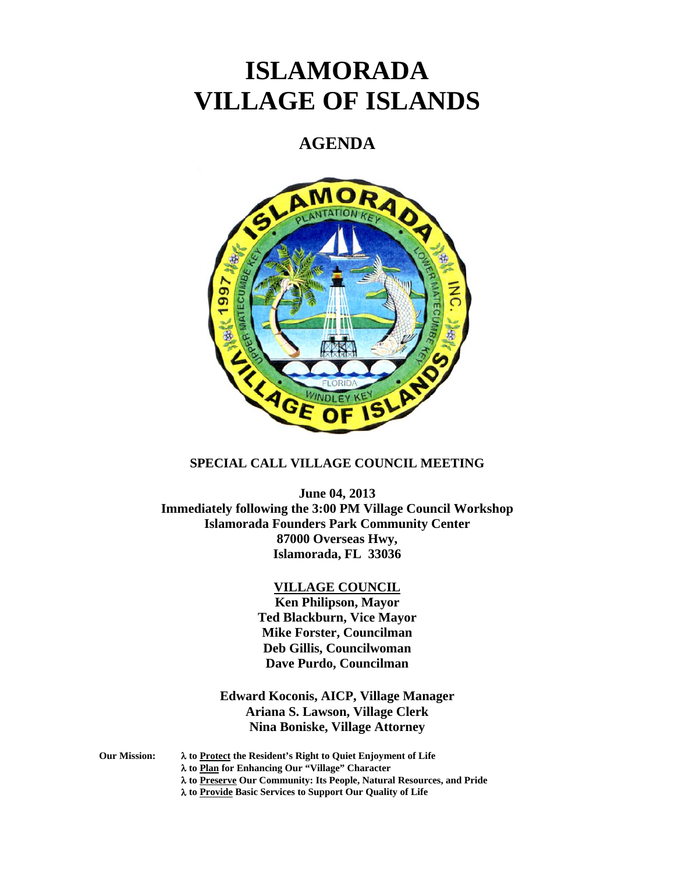# **ISLAMORADA VILLAGE OF ISLANDS**

# **AGENDA**



# **SPECIAL CALL VILLAGE COUNCIL MEETING**

**June 04, 2013 Immediately following the 3:00 PM Village Council Workshop Islamorada Founders Park Community Center 87000 Overseas Hwy, Islamorada, FL 33036** 

#### **VILLAGE COUNCIL**

**Ken Philipson, Mayor Ted Blackburn, Vice Mayor Mike Forster, Councilman Deb Gillis, Councilwoman Dave Purdo, Councilman** 

# **Edward Koconis, AICP, Village Manager Ariana S. Lawson, Village Clerk Nina Boniske, Village Attorney**

**Our Mission: to Protect the Resident's Right to Quiet Enjoyment of Life** 

 **to Plan for Enhancing Our "Village" Character** 

 **to Preserve Our Community: Its People, Natural Resources, and Pride** 

 **to Provide Basic Services to Support Our Quality of Life**